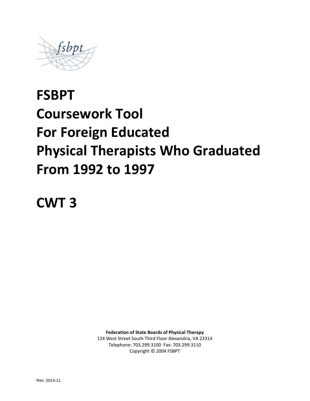

# **FSBPT Coursework Tool For Foreign Educated Physical Therapists Who Graduated From 1992 to 1997**

**CWT 3**

**Federation of State Boards of Physical Therapy** 

124 West Street South Third Floor Alexandria, VA 22314 Telephone: 703.299.3100 Fax: 703.299.3110 Copyright © 2004 FSBPT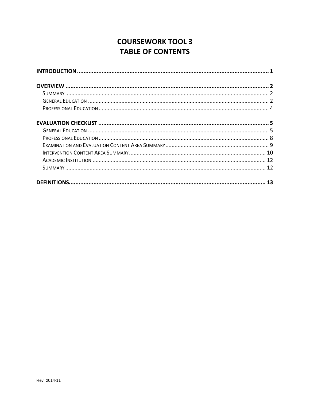# **COURSEWORK TOOL 3 TABLE OF CONTENTS**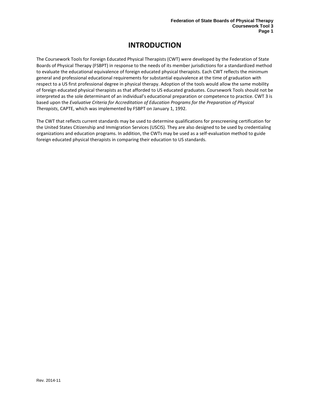# **INTRODUCTION**

<span id="page-2-0"></span>The Coursework Tools for Foreign Educated Physical Therapists (CWT) were developed by the Federation of State Boards of Physical Therapy (FSBPT) in response to the needs of its member jurisdictions for a standardized method to evaluate the educational equivalence of foreign educated physical therapists. Each CWT reflects the minimum general and professional educational requirements for substantial equivalence at the time of graduation with respect to a US first professional degree in physical therapy. Adoption of the tools would allow the same mobility of foreign educated physical therapists as that afforded to US educated graduates. Coursework Tools should not be interpreted as the sole determinant of an individual's educational preparation or competence to practice. CWT 3 is based upon the *Evaluative Criteria for Accreditation of Education Programs for the Preparation of Physical Therapists*, CAPTE, which was implemented by FSBPT on January 1, 1992.

The CWT that reflects current standards may be used to determine qualifications for prescreening certification for the United States Citizenship and Immigration Services (USCIS). They are also designed to be used by credentialing organizations and education programs. In addition, the CWTs may be used as a self-evaluation method to guide foreign educated physical therapists in comparing their education to US standards.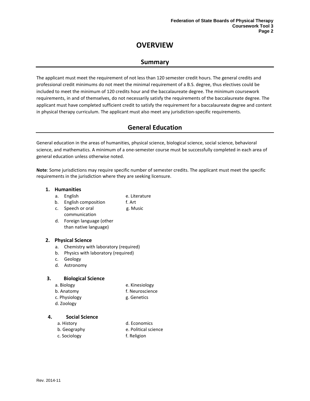# **OVERVIEW**

## **Summary**

<span id="page-3-1"></span><span id="page-3-0"></span>The applicant must meet the requirement of not less than 120 semester credit hours. The general credits and professional credit minimums do not meet the minimal requirement of a B.S. degree, thus electives could be included to meet the minimum of 120 credits hour and the baccalaureate degree. The minimum coursework requirements, in and of themselves, do not necessarily satisfy the requirements of the baccalaureate degree. The applicant must have completed sufficient credit to satisfy the requirement for a baccalaureate degree and content in physical therapy curriculum. The applicant must also meet any jurisdiction-specific requirements.

## **General Education**

<span id="page-3-2"></span>General education in the areas of humanities, physical science, biological science, social science, behavioral science, and mathematics. A minimum of a one-semester course must be successfully completed in each area of general education unless otherwise noted.

**Note**: Some jurisdictions may require specific number of semester credits. The applicant must meet the specific requirements in the jurisdiction where they are seeking licensure.

#### **1. Humanities**

- a. English e. Literature
- b. English composition f. Art
- c. Speech or oral g. Music
	- communication d. Foreign language (other than native language)

#### **2. Physical Science**

- a. Chemistry with laboratory (required)
- b. Physics with laboratory (required)
- c. Geology
- d. Astronomy

#### **3. Biological Science**

- 
- a. Biology e. Kinesiology
- b. Anatomy f. Neuroscience
- c. Physiology and g. Genetics
- d. Zoology

#### **4. Social Science**

- 
- a. History d. Economics
- b. Geography e. Political science
- c. Sociology f. Religion
-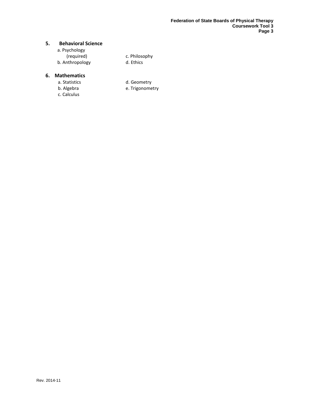#### **5. Behavioral Science**

| a. Psychology   |  |
|-----------------|--|
| (required)      |  |
| b. Anthropology |  |

c. Philosophy d. Ethics

#### **6. Mathematics**

- -
- c. Calculus
- a. Statistics d. Geometry<br>
b. Algebra d. Geometry<br>
e. Trigonome
	- e. Trigonometry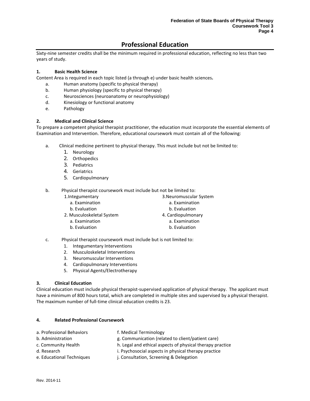## **Professional Education**

<span id="page-5-0"></span>Sixty-nine semester credits shall be the minimum required in professional education, reflecting no less than two years of study.

#### **1. Basic Health Science**

Content Area is required in each topic listed (a through e) under basic health sciences**.**

- a. Human anatomy (specific to physical therapy)
- b. Human physiology (specific to physical therapy)
- c. Neurosciences (neuroanatomy or neurophysiology)
- d. Kinesiology or functional anatomy
- e. Pathology

#### **2. Medical and Clinical Science**

To prepare a competent physical therapist practitioner, the education must incorporate the essential elements of Examination and Intervention. Therefore, educational coursework must contain all of the following:

- a. Clinical medicine pertinent to physical therapy. This must include but not be limited to:
	- 1. Neurology
	- 2. Orthopedics
	- 3. Pediatrics
	- 4. Geriatrics
	- 5. Cardiopulmonary

b. Physical therapist coursework must include but not be limited to:

- 1.Integumentary
	- a. Examination
	- b. Evaluation
- 2. Musculoskeletal System
	- a. Examination
	- b. Evaluation
- 3.Neuromuscular System
	- a. Examination
	- b. Evaluation
- 4. Cardiopulmonary
	- a. Examination
	- b. Evaluation
- c. Physical therapist coursework must include but is not limited to:
	- 1. Integumentary Interventions
	- 2. Musculoskeletal Interventions
	- 3. Neuromuscular Interventions
	- 4. Cardiopulmonary Interventions
	- 5. Physical Agents/Electrotherapy

#### **3. Clinical Education**

Clinical education must include physical therapist-supervised application of physical therapy. The applicant must have a minimum of 800 hours total, which are completed in multiple sites and supervised by a physical therapist. The maximum number of full-time clinical education credits is 23.

#### **4. Related Professional Coursework**

| a. Professional Behaviors | f. Medical Terminology                                    |
|---------------------------|-----------------------------------------------------------|
| b. Administration         | g. Communication (related to client/patient care)         |
| c. Community Health       | h. Legal and ethical aspects of physical therapy practice |
| d. Research               | i. Psychosocial aspects in physical therapy practice      |
| e. Educational Techniques | j. Consultation, Screening & Delegation                   |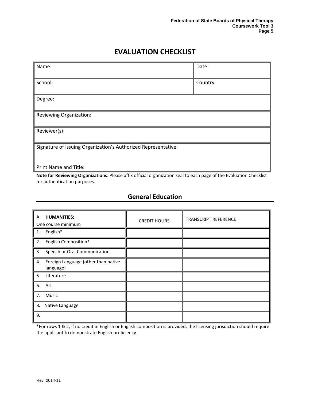# **EVALUATION CHECKLIST**

<span id="page-6-0"></span>

| Name:                                                          | Date:    |
|----------------------------------------------------------------|----------|
| School:                                                        | Country: |
| Degree:                                                        |          |
| Reviewing Organization:                                        |          |
| Reviewer(s):                                                   |          |
| Signature of Issuing Organization's Authorized Representative: |          |
| <b>Print Name and Title:</b>                                   |          |

**Note for Reviewing Organizations**: Please affix official organization seal to each page of the Evaluation Checklist for authentication purposes.

## **General Education**

<span id="page-6-1"></span>

| А.<br><b>HUMANITIES:</b><br>One course minimum         | <b>CREDIT HOURS</b> | <b>TRANSCRIPT REFERENCE</b> |
|--------------------------------------------------------|---------------------|-----------------------------|
| 1. English*                                            |                     |                             |
| English Composition*<br>2.                             |                     |                             |
| Speech or Oral Communication<br>3.                     |                     |                             |
| Foreign Language (other than native<br>4.<br>language) |                     |                             |
| 5.<br>Literature                                       |                     |                             |
| 6. Art                                                 |                     |                             |
| 7.<br>Music                                            |                     |                             |
| 8.<br>Native Language                                  |                     |                             |
| 9.                                                     |                     |                             |

**\***For rows 1 & 2, if no credit in English or English composition is provided, the licensing jurisdiction should require the applicant to demonstrate English proficiency.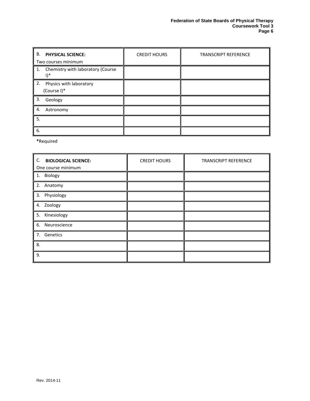| В.<br><b>PHYSICAL SCIENCE:</b><br>Two courses minimum    | <b>CREDIT HOURS</b> | <b>TRANSCRIPT REFERENCE</b> |
|----------------------------------------------------------|---------------------|-----------------------------|
| 1. Chemistry with laboratory (Course<br>$1$ <sup>*</sup> |                     |                             |
| 2.<br>Physics with laboratory<br>(Course I)*             |                     |                             |
| 3.<br>Geology                                            |                     |                             |
| 4.<br>Astronomy                                          |                     |                             |
| 5.                                                       |                     |                             |
| 6.                                                       |                     |                             |

**\***Required

| C.<br><b>BIOLOGICAL SCIENCE:</b><br>One course minimum | <b>CREDIT HOURS</b> | <b>TRANSCRIPT REFERENCE</b> |
|--------------------------------------------------------|---------------------|-----------------------------|
| 1. Biology                                             |                     |                             |
| 2. Anatomy                                             |                     |                             |
| 3. Physiology                                          |                     |                             |
| 4. Zoology                                             |                     |                             |
| 5. Kinesiology                                         |                     |                             |
| Neuroscience<br>6.                                     |                     |                             |
| 7. Genetics                                            |                     |                             |
| 8.                                                     |                     |                             |
| 9.                                                     |                     |                             |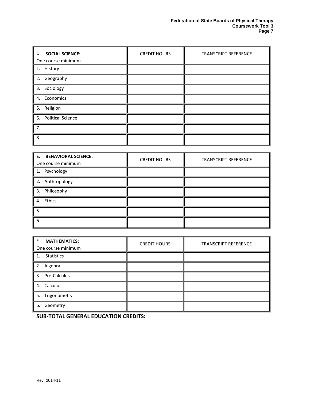| D. SOCIAL SCIENCE:<br>One course minimum | <b>CREDIT HOURS</b> | <b>TRANSCRIPT REFERENCE</b> |
|------------------------------------------|---------------------|-----------------------------|
|                                          |                     |                             |
| 1. History                               |                     |                             |
| 2. Geography                             |                     |                             |
| 3. Sociology                             |                     |                             |
| 4. Economics                             |                     |                             |
| 5. Religion                              |                     |                             |
| 6. Political Science                     |                     |                             |
| 7.                                       |                     |                             |
| 8.                                       |                     |                             |

| E. BEHAVIORAL SCIENCE:<br>One course minimum | <b>CREDIT HOURS</b> | <b>TRANSCRIPT REFERENCE</b> |
|----------------------------------------------|---------------------|-----------------------------|
| 1. Psychology                                |                     |                             |
| 2. Anthropology                              |                     |                             |
| 3. Philosophy                                |                     |                             |
| 4. Ethics                                    |                     |                             |
| 5.                                           |                     |                             |
| 6.                                           |                     |                             |

| F.<br><b>MATHEMATICS:</b><br>One course minimum | <b>CREDIT HOURS</b> | <b>TRANSCRIPT REFERENCE</b> |
|-------------------------------------------------|---------------------|-----------------------------|
| <b>Statistics</b>                               |                     |                             |
| 2. Algebra                                      |                     |                             |
| 3. Pre-Calculus                                 |                     |                             |
| 4. Calculus                                     |                     |                             |
| 5. Trigonometry                                 |                     |                             |
| 6. Geometry                                     |                     |                             |

**SUB-TOTAL GENERAL EDUCATION CREDITS: \_\_\_\_\_\_\_\_\_\_\_\_\_\_\_\_\_\_**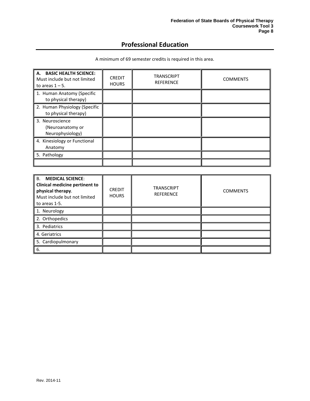## **Professional Education**

<span id="page-9-0"></span>

| A. BASIC HEALTH SCIENCE:<br>Must include but not limited<br>to areas $1 - 5$ . | <b>CREDIT</b><br><b>HOURS</b> | TRANSCRIPT<br><b>REFERENCE</b> | <b>COMMENTS</b> |
|--------------------------------------------------------------------------------|-------------------------------|--------------------------------|-----------------|
| 1. Human Anatomy (Specific<br>to physical therapy)                             |                               |                                |                 |
| 2. Human Physiology (Specific<br>to physical therapy)                          |                               |                                |                 |
| 3. Neuroscience<br>(Neuroanatomy or<br>Neurophysiology)                        |                               |                                |                 |
| 4. Kinesiology or Functional<br>Anatomy                                        |                               |                                |                 |
| 5. Pathology                                                                   |                               |                                |                 |
|                                                                                |                               |                                |                 |

A minimum of 69 semester credits is required in this area.

| <b>B. MEDICAL SCIENCE:</b><br><b>Clinical medicine pertinent to</b><br>physical therapy.<br>Must include but not limited<br>to areas 1-5. | <b>CREDIT</b><br><b>HOURS</b> | <b>TRANSCRIPT</b><br><b>REFERENCE</b> | <b>COMMENTS</b> |
|-------------------------------------------------------------------------------------------------------------------------------------------|-------------------------------|---------------------------------------|-----------------|
| 1. Neurology                                                                                                                              |                               |                                       |                 |
| 2. Orthopedics                                                                                                                            |                               |                                       |                 |
| 3. Pediatrics                                                                                                                             |                               |                                       |                 |
| 4. Geriatrics                                                                                                                             |                               |                                       |                 |
| 5. Cardiopulmonary                                                                                                                        |                               |                                       |                 |
| 6.                                                                                                                                        |                               |                                       |                 |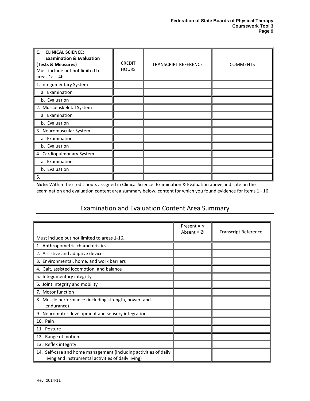| <b>CLINICAL SCIENCE:</b><br>C.<br><b>Examination &amp; Evaluation</b><br>(Tests & Measures)<br>Must include but not limited to<br>areas $1a - 4b$ . | <b>CREDIT</b><br><b>HOURS</b> | <b>TRANSCRIPT REFERENCE</b> | <b>COMMENTS</b> |
|-----------------------------------------------------------------------------------------------------------------------------------------------------|-------------------------------|-----------------------------|-----------------|
| 1. Integumentary System                                                                                                                             |                               |                             |                 |
| a. Examination                                                                                                                                      |                               |                             |                 |
| b. Evaluation                                                                                                                                       |                               |                             |                 |
| 2. Musculoskeletal System                                                                                                                           |                               |                             |                 |
| a. Examination                                                                                                                                      |                               |                             |                 |
| b. Evaluation                                                                                                                                       |                               |                             |                 |
| 3. Neuromuscular System                                                                                                                             |                               |                             |                 |
| a. Examination                                                                                                                                      |                               |                             |                 |
| b. Evaluation                                                                                                                                       |                               |                             |                 |
| 4. Cardiopulmonary System                                                                                                                           |                               |                             |                 |
| a. Examination                                                                                                                                      |                               |                             |                 |
| b. Evaluation                                                                                                                                       |                               |                             |                 |
| 5.                                                                                                                                                  |                               |                             |                 |

**Note**: Within the credit hours assigned in Clinical Science: Examination & Evaluation above, indicate on the examination and evaluation content area summary below, content for which you found evidence for items 1 - 16.

## Examination and Evaluation Content Area Summary

<span id="page-10-0"></span>

|                                                                                                                         | Present = $\sqrt{ }$<br>Absent = $\phi$ | <b>Transcript Reference</b> |
|-------------------------------------------------------------------------------------------------------------------------|-----------------------------------------|-----------------------------|
| Must include but not limited to areas 1-16.                                                                             |                                         |                             |
| 1. Anthropometric characteristics                                                                                       |                                         |                             |
| 2. Assistive and adaptive devices                                                                                       |                                         |                             |
| 3. Environmental, home, and work barriers                                                                               |                                         |                             |
| 4. Gait, assisted locomotion, and balance                                                                               |                                         |                             |
| 5. Integumentary integrity                                                                                              |                                         |                             |
| 6. Joint integrity and mobility                                                                                         |                                         |                             |
| 7. Motor function                                                                                                       |                                         |                             |
| 8. Muscle performance (including strength, power, and<br>endurance)                                                     |                                         |                             |
| 9. Neuromotor development and sensory integration                                                                       |                                         |                             |
| 10. Pain                                                                                                                |                                         |                             |
| 11. Posture                                                                                                             |                                         |                             |
| 12. Range of motion                                                                                                     |                                         |                             |
| 13. Reflex integrity                                                                                                    |                                         |                             |
| 14. Self-care and home management (including activities of daily<br>living and instrumental activities of daily living) |                                         |                             |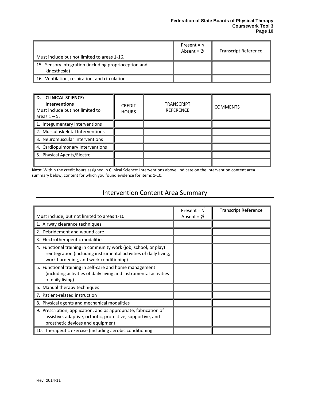| Must include but not limited to areas 1-16.                           | Present = $\sqrt{ }$<br>Absent = $\phi$ | <b>Transcript Reference</b> |
|-----------------------------------------------------------------------|-----------------------------------------|-----------------------------|
| 15. Sensory integration (including proprioception and<br>kinesthesia) |                                         |                             |
| 16. Ventilation, respiration, and circulation                         |                                         |                             |

| D. CLINICAL SCIENCE:<br><b>Interventions</b><br>Must include but not limited to<br>areas $1 - 5$ . | <b>CREDIT</b><br><b>HOURS</b> | <b>TRANSCRIPT</b><br><b>REFERENCE</b> | <b>COMMENTS</b> |
|----------------------------------------------------------------------------------------------------|-------------------------------|---------------------------------------|-----------------|
| 1. Integumentary Interventions                                                                     |                               |                                       |                 |
| 2. Musculoskeletal Interventions                                                                   |                               |                                       |                 |
| 3. Neuromuscular Interventions                                                                     |                               |                                       |                 |
| 4. Cardiopulmonary Interventions                                                                   |                               |                                       |                 |
| 5. Physical Agents/Electro                                                                         |                               |                                       |                 |
|                                                                                                    |                               |                                       |                 |

**Note**: Within the credit hours assigned in Clinical Science: Interventions above, indicate on the intervention content area summary below, content for which you found evidence for items 1-10.

## Intervention Content Area Summary

<span id="page-11-0"></span>

|                                                                                                                                                                                | Present = $\sqrt{ }$ | <b>Transcript Reference</b> |
|--------------------------------------------------------------------------------------------------------------------------------------------------------------------------------|----------------------|-----------------------------|
| Must include, but not limited to areas 1-10.                                                                                                                                   | Absent = $\phi$      |                             |
| 1. Airway clearance techniques                                                                                                                                                 |                      |                             |
| 2. Debridement and wound care                                                                                                                                                  |                      |                             |
| 3. Electrotherapeutic modalities                                                                                                                                               |                      |                             |
| 4. Functional training in community work (job, school, or play)<br>reintegration (including instrumental activities of daily living,<br>work hardening, and work conditioning) |                      |                             |
| 5. Functional training in self-care and home management<br>(including activities of daily living and instrumental activities<br>of daily living)                               |                      |                             |
| 6. Manual therapy techniques                                                                                                                                                   |                      |                             |
| 7. Patient-related instruction                                                                                                                                                 |                      |                             |
| 8. Physical agents and mechanical modalities                                                                                                                                   |                      |                             |
| 9. Prescription, application, and as appropriate, fabrication of<br>assistive, adaptive, orthotic, protective, supportive, and<br>prosthetic devices and equipment             |                      |                             |
| 10. Therapeutic exercise (including aerobic conditioning                                                                                                                       |                      |                             |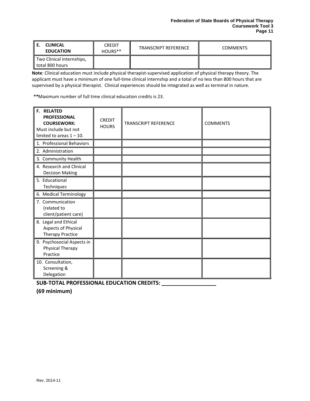| <b>CLINICAL</b><br><b>EDUCATION</b>          | <b>CREDIT</b><br>HOURS** | <b>TRANSCRIPT REFERENCE</b> | <b>COMMENTS</b> |
|----------------------------------------------|--------------------------|-----------------------------|-----------------|
| Two Clinical Internships,<br>total 800 hours |                          |                             |                 |

**Note**: Clinical education must include physical therapist-supervised application of physical therapy theory. The applicant must have a minimum of one full-time clinical internship and a total of no less than 800 hours that are supervised by a physical therapist. Clinical experiences should be integrated as well as terminal in nature.

*\*\**Maximum number of full time clinical education credits is 23.

| <b>F. RELATED</b><br><b>PROFESSIONAL</b><br><b>COURSEWORK:</b><br>Must include but not<br>limited to areas $1 - 10$ . | <b>CREDIT</b><br><b>HOURS</b> | <b>TRANSCRIPT REFERENCE</b> | <b>COMMENTS</b> |
|-----------------------------------------------------------------------------------------------------------------------|-------------------------------|-----------------------------|-----------------|
| 1. Professional Behaviors                                                                                             |                               |                             |                 |
| 2. Administration                                                                                                     |                               |                             |                 |
| 3. Community Health                                                                                                   |                               |                             |                 |
| 4. Research and Clinical<br><b>Decision Making</b>                                                                    |                               |                             |                 |
| 5. Educational<br>Techniques                                                                                          |                               |                             |                 |
| 6. Medical Terminology                                                                                                |                               |                             |                 |
| 7. Communication<br>(related to<br>client/patient care)                                                               |                               |                             |                 |
| 8. Legal and Ethical<br>Aspects of Physical<br><b>Therapy Practice</b>                                                |                               |                             |                 |
| 9. Psychosocial Aspects in<br>Physical Therapy<br>Practice                                                            |                               |                             |                 |
| 10. Consultation,<br>Screening &<br>Delegation                                                                        |                               |                             |                 |

**SUB-TOTAL PROFESSIONAL EDUCATION CREDITS: \_\_\_\_\_\_\_\_\_\_\_\_\_\_\_\_\_\_**

**(69 minimum)**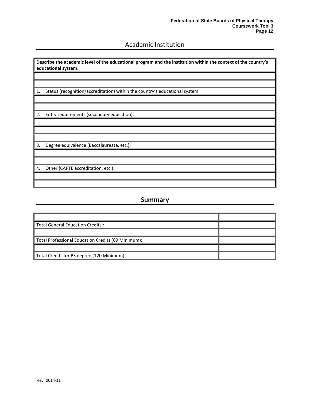## Academic Institution

<span id="page-13-0"></span>**Describe the academic level of the educational program and the institution within the context of the country's educational system:**

1. Status (recognition/accreditation) within the country's educational system:

2. Entry requirements (secondary education):

3. Degree equivalence (Baccalaureate, etc.):

4. Other (CAPTE accreditation, etc.):

### **Summary**

<span id="page-13-1"></span>

| <b>Total General Education Credits:</b>            |  |
|----------------------------------------------------|--|
|                                                    |  |
| Total Professional Education Credits (69 Minimum): |  |
|                                                    |  |
| Total Credits for BS degree (120 Minimum)          |  |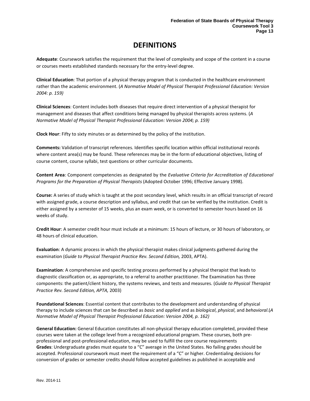# **DEFINITIONS**

<span id="page-14-0"></span>**Adequate**: Coursework satisfies the requirement that the level of complexity and scope of the content in a course or courses meets established standards necessary for the entry-level degree.

**Clinical Education**: That portion of a physical therapy program that is conducted in the healthcare environment rather than the academic environment. (*A Normative Model of Physical Therapist Professional Education: Version 2004: p. 159)*

**Clinical Sciences**: Content includes both diseases that require direct intervention of a physical therapist for management and diseases that affect conditions being managed by physical therapists across systems. (*A Normative Model of Physical Therapist Professional Education: Version 2004; p. 159)*

**Clock Hour**: Fifty to sixty minutes or as determined by the policy of the institution.

**Comments:** Validation of transcript references. Identifies specific location within official institutional records where content area(s) may be found. These references may be in the form of educational objectives, listing of course content, course syllabi, test questions or other curricular documents.

**Content Area**: Component competencies as designated by the *Evaluative Criteria for Accreditation of Educational Programs for the Preparation of Physical Therapists* (Adopted October 1996; Effective January 1998).

**Course:** A series of study which is taught at the post secondary level, which results in an official transcript of record with assigned grade, a course description and syllabus, and credit that can be verified by the institution. Credit is either assigned by a semester of 15 weeks, plus an exam week, or is converted to semester hours based on 16 weeks of study.

**Credit Hour**: A semester credit hour must include at a minimum: 15 hours of lecture, or 30 hours of laboratory, or 48 hours of clinical education.

**Evaluation**: A dynamic process in which the physical therapist makes clinical judgments gathered during the examination (*Guide to Physical Therapist Practice Rev. Second Edition,* 2003, APTA).

**Examination**: A comprehensive and specific testing process performed by a physical therapist that leads to diagnostic classification or, as appropriate, to a referral to another practitioner. The Examination has three components: the patient/client history, the systems reviews, and tests and measures. (*Guide to Physical Therapist Practice Rev. Second Edition, APTA,* 2003)

**Foundational Sciences**: Essential content that contributes to the development and understanding of physical therapy to include sciences that can be described as *basic* and *applied* and as *biological*, *physical*, and *behavioral*.(*A Normative Model of Physical Therapist Professional Education: Version 2004, p. 162)*

**General Education:** General Education constitutes all non-physical therapy education completed, provided these courses were taken at the college level from a recognized educational program. These courses, both preprofessional and post-professional education, may be used to fulfill the core course requirements **Grades**: Undergraduate grades must equate to a "C" average in the United States. No failing grades should be accepted. Professional coursework must meet the requirement of a "C" or higher. Credentialing decisions for conversion of grades or semester credits should follow accepted guidelines as published in acceptable and